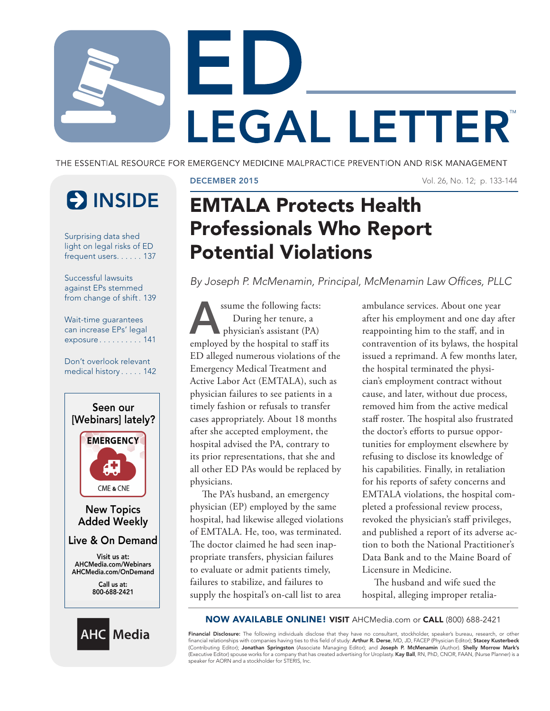

THE ESSENTIAL RESOURCE FOR EMERGENCY MEDICINE MALPRACTICE PREVENTION AND RISK MANAGEMENT

# **ES INSIDE**

Surprising data shed light on legal risks of ED frequent users. . . . . . 137

Successful lawsuits against EPs stemmed from change of shift. 139

Wait-time guarantees can increase EPs' legal exposure . . . . . . . . . . 141

Don't overlook relevant medical history . . . . . 142





### DECEMBER 2015 Vol. 26, No. 12; p. 133-144

# EMTALA Protects Health Professionals Who Report Potential Violations

*By Joseph P. McMenamin, Principal, McMenamin Law Offices, PLLC*

ssume the following facts: During her tenure, a physician's assistant (PA) employed by the hospital to staff its ED alleged numerous violations of the Emergency Medical Treatment and Active Labor Act (EMTALA), such as physician failures to see patients in a timely fashion or refusals to transfer cases appropriately. About 18 months after she accepted employment, the hospital advised the PA, contrary to its prior representations, that she and all other ED PAs would be replaced by physicians.

The PA's husband, an emergency physician (EP) employed by the same hospital, had likewise alleged violations of EMTALA. He, too, was terminated. The doctor claimed he had seen inappropriate transfers, physician failures to evaluate or admit patients timely, failures to stabilize, and failures to supply the hospital's on-call list to area

ambulance services. About one year after his employment and one day after reappointing him to the staff, and in contravention of its bylaws, the hospital issued a reprimand. A few months later, the hospital terminated the physician's employment contract without cause, and later, without due process, removed him from the active medical staff roster. The hospital also frustrated the doctor's efforts to pursue opportunities for employment elsewhere by refusing to disclose its knowledge of his capabilities. Finally, in retaliation for his reports of safety concerns and EMTALA violations, the hospital completed a professional review process, revoked the physician's staff privileges, and published a report of its adverse action to both the National Practitioner's Data Bank and to the Maine Board of Licensure in Medicine.

The husband and wife sued the hospital, alleging improper retalia-

### NOW AVAILABLE ONLINE! VISIT AHCMedia.com or CALL (800) 688-2421

Financial Disclosure: The following individuals disclose that they have no consultant, stockholder, speaker's bureau, research, or other financial relationships with companies having ties to this field of study: **Arthur R. Derse**, MD, JD, FACEP (Physician Editor); **Stacey Kusterbeck**<br>(Contributing Editor); **Jonathan Springston** (Associate Managing Editor); (Executive Editor) spouse works for a company that has created advertising for Uroplasty. Kay Ball, RN, PhD, CNOR, FAAN, (Nurse Planner) is a speaker for AORN and a stockholder for STERIS, Inc.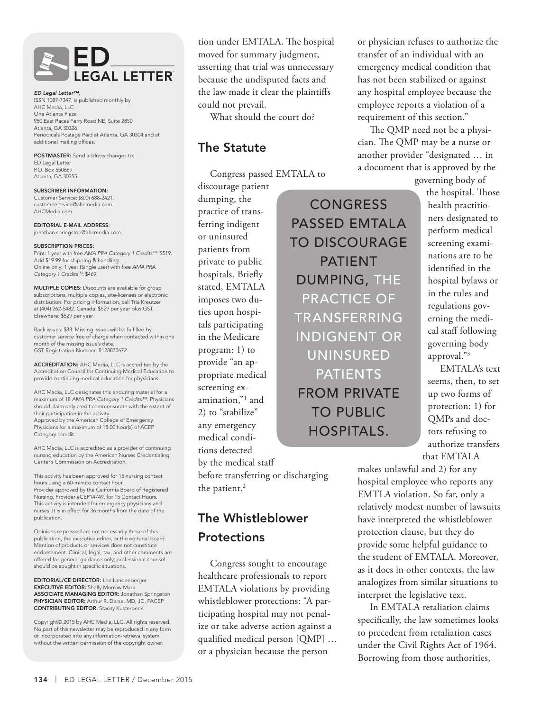

*ED Legal Letter™*, ISSN 1087-7347, is published monthly by AHC Media, LLC One Atlanta Plaza 950 East Paces Ferry Road NE, Suite 2850 Atlanta, GA 30326. Periodicals Postage Paid at Atlanta, GA 30304 and at additional mailing offices.

POSTMASTER: Send address changes to: ED Legal Letter P.O. Box 550669 Atlanta, GA 30355.

SUBSCRIBER INFORMATION: Customer Service: (800) 688-2421. customerservice@ahcmedia.com. AHCMedia.com

EDITORIAL E-MAIL ADDRESS: jonathan.springston@ahcmedia.com.

#### SUBSCRIPTION PRICES:

Print: 1 year with free *AMA PRA Category 1 CreditsTM*: \$519. Add \$19.99 for shipping & handling. Online only: 1 year (Single user) with free *AMA PRA Category 1 CreditsTM*: \$469

MULTIPLE COPIES: Discounts are available for group subscriptions, multiple copies, site-licenses or electronic distribution. For pricing information, call Tria Kreutzer at (404) 262-5482. Canada: \$529 per year plus GST. Elsewhere: \$529 per year.

Back issues: \$83. Missing issues will be fulfilled by customer service free of charge when contacted within one month of the missing issue's date. GST Registration Number: R128870672.

ACCREDITATION: AHC Media, LLC is accredited by the Accreditation Council for Continuing Medical Education to provide continuing medical education for physicians.

AHC Media, LLC designates this enduring material for a maximum of 18 *AMA PRA Category 1 Credits™*. Physicians should claim only credit commensurate with the extent of their participation in the activity. Approved by the American College of Emergency Physicians for a maximum of 18.00 hour(s) of ACEP Category I credit.

AHC Media, LLC is accredited as a provider of continuing nursing education by the American Nurses Credentialing Center's Commission on Accreditation.

This activity has been approved for 15 nursing contact hours using a 60-minute contact hour. Provider approved by the California Board of Registered Nursing, Provider #CEP14749, for 15 Contact Hours. This activity is intended for emergency physicians and nurses. It is in effect for 36 months from the date of the publication.

Opinions expressed are not necessarily those of this publication, the executive editor, or the editorial board. Mention of products or services does not constitute endorsement. Clinical, legal, tax, and other comments are offered for general guidance only; professional counsel should be sought in specific situations.

EDITORIAL/CE DIRECTOR: Lee Landenberger EXECUTIVE EDITOR: Shelly Morrow Mark ASSOCIATE MANAGING EDITOR: Jonathan Springston PHYSICIAN EDITOR: Arthur R. Derse, MD, JD, FACEP CONTRIBUTING EDITOR: Stacey Kusterbeck

Copyright© 2015 by AHC Media, LLC. All rights reserved. No part of this newsletter may be reproduced in any form or incorporated into any information-retrieval system without the written permission of the copyright owner.

tion under EMTALA. The hospital moved for summary judgment, asserting that trial was unnecessary because the undisputed facts and the law made it clear the plaintiffs could not prevail.

What should the court do?

# The Statute

Congress passed EMTALA to

**CONGRESS** 

PATIENT

PRACTICE OF

UNINSURED

PATIENTS

FROM PRIVATE

TO PUBLIC

HOSPITALS.

discourage patient dumping, the practice of transferring indigent or uninsured patients from private to public hospitals. Briefly stated, EMTALA imposes two duties upon hospitals participating in the Medicare program: 1) to provide "an appropriate medical screening examination,"1 and 2) to "stabilize" any emergency medical conditions detected by the medical staff

before transferring or discharging the patient.<sup>2</sup>

# The Whistleblower **Protections**

Congress sought to encourage healthcare professionals to report EMTALA violations by providing whistleblower protections: "A participating hospital may not penalize or take adverse action against a qualified medical person [QMP] … or a physician because the person

or physician refuses to authorize the transfer of an individual with an emergency medical condition that has not been stabilized or against any hospital employee because the employee reports a violation of a requirement of this section."

The QMP need not be a physician. The QMP may be a nurse or another provider "designated … in a document that is approved by the

governing body of

the hospital. Those health practitioners designated to perform medical screening examinations are to be identified in the hospital bylaws or in the rules and regulations governing the medical staff following governing body approval."3 EMTALA's text PASSED EMTALA TO DISCOURAGE DUMPING, THE TRANSFERRING INDIGNENT OR

seems, then, to set up two forms of protection: 1) for QMPs and doctors refusing to authorize transfers that EMTALA

makes unlawful and 2) for any hospital employee who reports any EMTLA violation. So far, only a relatively modest number of lawsuits have interpreted the whistleblower protection clause, but they do provide some helpful guidance to the student of EMTALA. Moreover, as it does in other contexts, the law analogizes from similar situations to interpret the legislative text.

In EMTALA retaliation claims specifically, the law sometimes looks to precedent from retaliation cases under the Civil Rights Act of 1964. Borrowing from those authorities,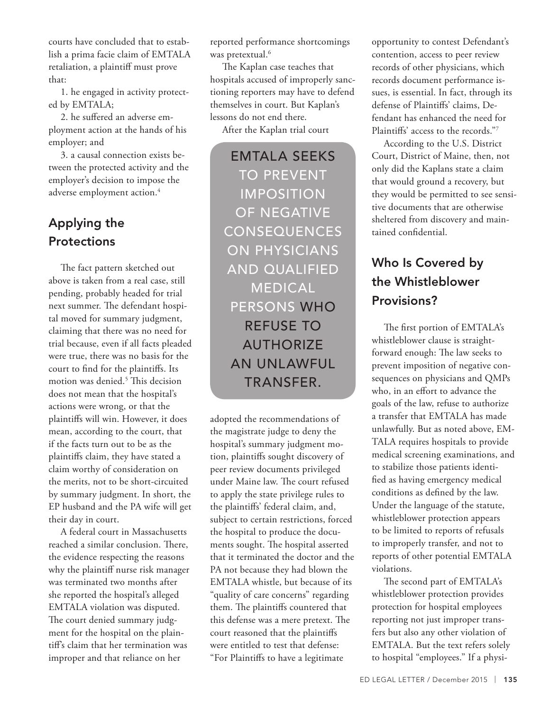courts have concluded that to establish a prima facie claim of EMTALA retaliation, a plaintiff must prove that:

1. he engaged in activity protected by EMTALA;

2. he suffered an adverse employment action at the hands of his employer; and

3. a causal connection exists between the protected activity and the employer's decision to impose the adverse employment action.<sup>4</sup>

# Applying the **Protections**

The fact pattern sketched out above is taken from a real case, still pending, probably headed for trial next summer. The defendant hospital moved for summary judgment, claiming that there was no need for trial because, even if all facts pleaded were true, there was no basis for the court to find for the plaintiffs. Its motion was denied.5 This decision does not mean that the hospital's actions were wrong, or that the plaintiffs will win. However, it does mean, according to the court, that if the facts turn out to be as the plaintiffs claim, they have stated a claim worthy of consideration on the merits, not to be short-circuited by summary judgment. In short, the EP husband and the PA wife will get their day in court.

A federal court in Massachusetts reached a similar conclusion. There, the evidence respecting the reasons why the plaintiff nurse risk manager was terminated two months after she reported the hospital's alleged EMTALA violation was disputed. The court denied summary judgment for the hospital on the plaintiff's claim that her termination was improper and that reliance on her

reported performance shortcomings was pretextual.<sup>6</sup>

The Kaplan case teaches that hospitals accused of improperly sanctioning reporters may have to defend themselves in court. But Kaplan's lessons do not end there.

After the Kaplan trial court

EMTALA SEEKS TO PREVENT IMPOSITION OF NEGATIVE CONSEQUENCES ON PHYSICIANS AND QUALIFIED MEDICAL PERSONS WHO REFUSE TO AUTHORIZE AN UNLAWFUL TRANSFER.

adopted the recommendations of the magistrate judge to deny the hospital's summary judgment motion, plaintiffs sought discovery of peer review documents privileged under Maine law. The court refused to apply the state privilege rules to the plaintiffs' federal claim, and, subject to certain restrictions, forced the hospital to produce the documents sought. The hospital asserted that it terminated the doctor and the PA not because they had blown the EMTALA whistle, but because of its "quality of care concerns" regarding them. The plaintiffs countered that this defense was a mere pretext. The court reasoned that the plaintiffs were entitled to test that defense: "For Plaintiffs to have a legitimate

opportunity to contest Defendant's contention, access to peer review records of other physicians, which records document performance issues, is essential. In fact, through its defense of Plaintiffs' claims, Defendant has enhanced the need for Plaintiffs' access to the records."7

According to the U.S. District Court, District of Maine, then, not only did the Kaplans state a claim that would ground a recovery, but they would be permitted to see sensitive documents that are otherwise sheltered from discovery and maintained confidential.

# Who Is Covered by the Whistleblower Provisions?

The first portion of EMTALA's whistleblower clause is straightforward enough: The law seeks to prevent imposition of negative consequences on physicians and QMPs who, in an effort to advance the goals of the law, refuse to authorize a transfer that EMTALA has made unlawfully. But as noted above, EM-TALA requires hospitals to provide medical screening examinations, and to stabilize those patients identified as having emergency medical conditions as defined by the law. Under the language of the statute, whistleblower protection appears to be limited to reports of refusals to improperly transfer, and not to reports of other potential EMTALA violations.

The second part of EMTALA's whistleblower protection provides protection for hospital employees reporting not just improper transfers but also any other violation of EMTALA. But the text refers solely to hospital "employees." If a physi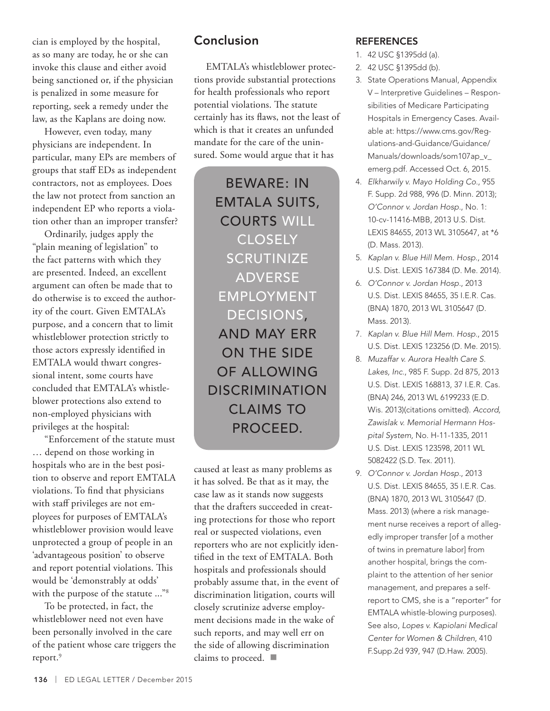cian is employed by the hospital, as so many are today, he or she can invoke this clause and either avoid being sanctioned or, if the physician is penalized in some measure for reporting, seek a remedy under the law, as the Kaplans are doing now.

However, even today, many physicians are independent. In particular, many EPs are members of groups that staff EDs as independent contractors, not as employees. Does the law not protect from sanction an independent EP who reports a violation other than an improper transfer?

Ordinarily, judges apply the "plain meaning of legislation" to the fact patterns with which they are presented. Indeed, an excellent argument can often be made that to do otherwise is to exceed the authority of the court. Given EMTALA's purpose, and a concern that to limit whistleblower protection strictly to those actors expressly identified in EMTALA would thwart congressional intent, some courts have concluded that EMTALA's whistleblower protections also extend to non-employed physicians with privileges at the hospital:

"Enforcement of the statute must … depend on those working in hospitals who are in the best position to observe and report EMTALA violations. To find that physicians with staff privileges are not employees for purposes of EMTALA's whistleblower provision would leave unprotected a group of people in an 'advantageous position' to observe and report potential violations. This would be 'demonstrably at odds' with the purpose of the statute ..."<sup>8</sup>

To be protected, in fact, the whistleblower need not even have been personally involved in the care of the patient whose care triggers the report.<sup>9</sup>

# Conclusion

EMTALA's whistleblower protections provide substantial protections for health professionals who report potential violations. The statute certainly has its flaws, not the least of which is that it creates an unfunded mandate for the care of the uninsured. Some would argue that it has

BEWARE: IN EMTALA SUITS, COURTS WILL CLOSELY **SCRUTINIZE** ADVERSE EMPLOYMENT DECISIONS, AND MAY ERR ON THE SIDE OF ALLOWING DISCRIMINATION CLAIMS TO PROCEED.

caused at least as many problems as it has solved. Be that as it may, the case law as it stands now suggests that the drafters succeeded in creating protections for those who report real or suspected violations, even reporters who are not explicitly identified in the text of EMTALA. Both hospitals and professionals should probably assume that, in the event of discrimination litigation, courts will closely scrutinize adverse employment decisions made in the wake of such reports, and may well err on the side of allowing discrimination claims to proceed.  $\blacksquare$ 

# REFERENCES

- 1. 42 USC §1395dd (a).
- 2. 42 USC §1395dd (b).
- 3. State Operations Manual, Appendix V – Interpretive Guidelines – Responsibilities of Medicare Participating Hospitals in Emergency Cases. Available at: https://www.cms.gov/Regulations-and-Guidance/Guidance/ Manuals/downloads/som107ap\_v\_ emerg.pdf. Accessed Oct. 6, 2015.
- 4. *Elkharwily v. Mayo Holding Co.*, 955 F. Supp. 2d 988, 996 (D. Minn. 2013); *O'Connor v. Jordan Hosp.*, No. 1: 10-cv-11416-MBB, 2013 U.S. Dist. LEXIS 84655, 2013 WL 3105647, at \*6 (D. Mass. 2013).
- 5. *Kaplan v. Blue Hill Mem. Hosp.*, 2014 U.S. Dist. LEXIS 167384 (D. Me. 2014).
- 6. *O'Connor v. Jordan Hosp.*, 2013 U.S. Dist. LEXIS 84655, 35 I.E.R. Cas. (BNA) 1870, 2013 WL 3105647 (D. Mass. 2013).
- 7. *Kaplan v. Blue Hill Mem. Hosp.*, 2015 U.S. Dist. LEXIS 123256 (D. Me. 2015).
- 8. *Muzaffar v. Aurora Health Care S. Lakes, Inc.*, 985 F. Supp. 2d 875, 2013 U.S. Dist. LEXIS 168813, 37 I.E.R. Cas. (BNA) 246, 2013 WL 6199233 (E.D. Wis. 2013)(citations omitted). *Accord, Zawislak v. Memorial Hermann Hospital System*, No. H-11-1335, 2011 U.S. Dist. LEXIS 123598, 2011 WL 5082422 (S.D. Tex. 2011).
- 9. *O'Connor v. Jordan Hosp.*, 2013 U.S. Dist. LEXIS 84655, 35 I.E.R. Cas. (BNA) 1870, 2013 WL 3105647 (D. Mass. 2013) (where a risk management nurse receives a report of allegedly improper transfer [of a mother of twins in premature labor] from another hospital, brings the complaint to the attention of her senior management, and prepares a selfreport to CMS, she is a "reporter" for EMTALA whistle-blowing purposes). See also, *Lopes v. Kapiolani Medical Center for Women & Children*, 410 F.Supp.2d 939, 947 (D.Haw. 2005).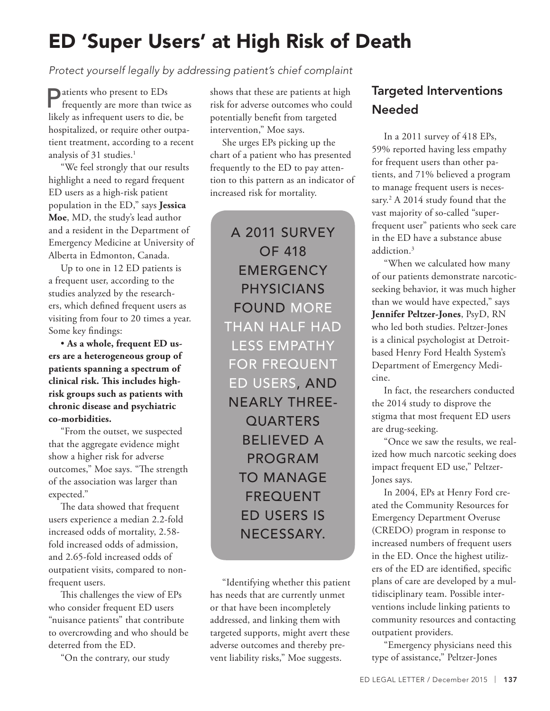# ED 'Super Users' at High Risk of Death

*Protect yourself legally by addressing patient's chief complaint*

Patients who present to EDs frequently are more than twice as likely as infrequent users to die, be hospitalized, or require other outpatient treatment, according to a recent analysis of 31 studies.<sup>1</sup>

"We feel strongly that our results highlight a need to regard frequent ED users as a high-risk patient population in the ED," says **Jessica Moe**, MD, the study's lead author and a resident in the Department of Emergency Medicine at University of Alberta in Edmonton, Canada.

Up to one in 12 ED patients is a frequent user, according to the studies analyzed by the researchers, which defined frequent users as visiting from four to 20 times a year. Some key findings:

• **As a whole, frequent ED users are a heterogeneous group of patients spanning a spectrum of clinical risk. This includes highrisk groups such as patients with chronic disease and psychiatric co-morbidities.**

"From the outset, we suspected that the aggregate evidence might show a higher risk for adverse outcomes," Moe says. "The strength of the association was larger than expected."

The data showed that frequent users experience a median 2.2-fold increased odds of mortality, 2.58 fold increased odds of admission, and 2.65-fold increased odds of outpatient visits, compared to nonfrequent users.

This challenges the view of EPs who consider frequent ED users "nuisance patients" that contribute to overcrowding and who should be deterred from the ED.

"On the contrary, our study

shows that these are patients at high risk for adverse outcomes who could potentially benefit from targeted intervention," Moe says.

She urges EPs picking up the chart of a patient who has presented frequently to the ED to pay attention to this pattern as an indicator of increased risk for mortality.

A 2011 SURVEY OF 418 **EMERGENCY** PHYSICIANS FOUND MORE THAN HALF HAD LESS EMPATHY FOR FREQUENT ED USERS, AND NEARLY THREE-**OUARTERS** BELIEVED A PROGRAM TO MANAGE FREQUENT ED USERS IS NECESSARY.

"Identifying whether this patient has needs that are currently unmet or that have been incompletely addressed, and linking them with targeted supports, might avert these adverse outcomes and thereby prevent liability risks," Moe suggests.

# Targeted Interventions Needed

In a 2011 survey of 418 EPs, 59% reported having less empathy for frequent users than other patients, and 71% believed a program to manage frequent users is necessary.2 A 2014 study found that the vast majority of so-called "superfrequent user" patients who seek care in the ED have a substance abuse addiction.3

"When we calculated how many of our patients demonstrate narcoticseeking behavior, it was much higher than we would have expected," says **Jennifer Peltzer-Jones**, PsyD, RN who led both studies. Peltzer-Jones is a clinical psychologist at Detroitbased Henry Ford Health System's Department of Emergency Medicine.

In fact, the researchers conducted the 2014 study to disprove the stigma that most frequent ED users are drug-seeking.

"Once we saw the results, we realized how much narcotic seeking does impact frequent ED use," Peltzer-Jones says.

In 2004, EPs at Henry Ford created the Community Resources for Emergency Department Overuse (CREDO) program in response to increased numbers of frequent users in the ED. Once the highest utilizers of the ED are identified, specific plans of care are developed by a multidisciplinary team. Possible interventions include linking patients to community resources and contacting outpatient providers.

"Emergency physicians need this type of assistance," Peltzer-Jones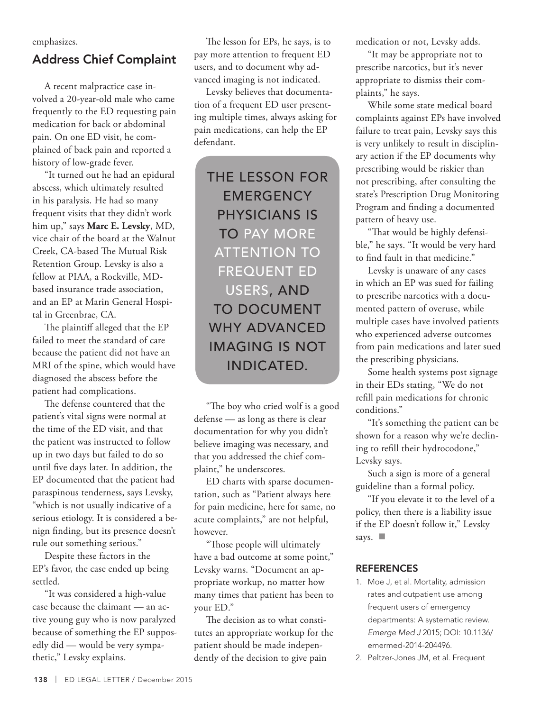emphasizes.

# Address Chief Complaint

A recent malpractice case involved a 20-year-old male who came frequently to the ED requesting pain medication for back or abdominal pain. On one ED visit, he complained of back pain and reported a history of low-grade fever.

"It turned out he had an epidural abscess, which ultimately resulted in his paralysis. He had so many frequent visits that they didn't work him up," says **Marc E. Levsky**, MD, vice chair of the board at the Walnut Creek, CA-based The Mutual Risk Retention Group. Levsky is also a fellow at PIAA, a Rockville, MDbased insurance trade association, and an EP at Marin General Hospital in Greenbrae, CA.

The plaintiff alleged that the EP failed to meet the standard of care because the patient did not have an MRI of the spine, which would have diagnosed the abscess before the patient had complications.

The defense countered that the patient's vital signs were normal at the time of the ED visit, and that the patient was instructed to follow up in two days but failed to do so until five days later. In addition, the EP documented that the patient had paraspinous tenderness, says Levsky, "which is not usually indicative of a serious etiology. It is considered a benign finding, but its presence doesn't rule out something serious."

Despite these factors in the EP's favor, the case ended up being settled.

"It was considered a high-value case because the claimant — an active young guy who is now paralyzed because of something the EP supposedly did — would be very sympathetic," Levsky explains.

The lesson for EPs, he says, is to pay more attention to frequent ED users, and to document why advanced imaging is not indicated.

Levsky believes that documentation of a frequent ED user presenting multiple times, always asking for pain medications, can help the EP defendant.

THE LESSON FOR **EMERGENCY** PHYSICIANS IS TO PAY MORE ATTENTION TO FREQUENT ED USERS, AND TO DOCUMENT WHY ADVANCED IMAGING IS NOT INDICATED.

"The boy who cried wolf is a good defense — as long as there is clear documentation for why you didn't believe imaging was necessary, and that you addressed the chief complaint," he underscores.

ED charts with sparse documentation, such as "Patient always here for pain medicine, here for same, no acute complaints," are not helpful, however.

"Those people will ultimately have a bad outcome at some point," Levsky warns. "Document an appropriate workup, no matter how many times that patient has been to your ED."

The decision as to what constitutes an appropriate workup for the patient should be made independently of the decision to give pain

medication or not, Levsky adds.

"It may be appropriate not to prescribe narcotics, but it's never appropriate to dismiss their complaints," he says.

While some state medical board complaints against EPs have involved failure to treat pain, Levsky says this is very unlikely to result in disciplinary action if the EP documents why prescribing would be riskier than not prescribing, after consulting the state's Prescription Drug Monitoring Program and finding a documented pattern of heavy use.

"That would be highly defensible," he says. "It would be very hard to find fault in that medicine."

Levsky is unaware of any cases in which an EP was sued for failing to prescribe narcotics with a documented pattern of overuse, while multiple cases have involved patients who experienced adverse outcomes from pain medications and later sued the prescribing physicians.

Some health systems post signage in their EDs stating, "We do not refill pain medications for chronic conditions."

"It's something the patient can be shown for a reason why we're declining to refill their hydrocodone," Levsky says.

Such a sign is more of a general guideline than a formal policy.

"If you elevate it to the level of a policy, then there is a liability issue if the EP doesn't follow it," Levsky says.  $\Box$ 

# **REFERENCES**

- 1. Moe J, et al. Mortality, admission rates and outpatient use among frequent users of emergency departments: A systematic review. *Emerge Med J* 2015; DOI: 10.1136/ emermed-2014-204496.
- 2. Peltzer-Jones JM, et al. Frequent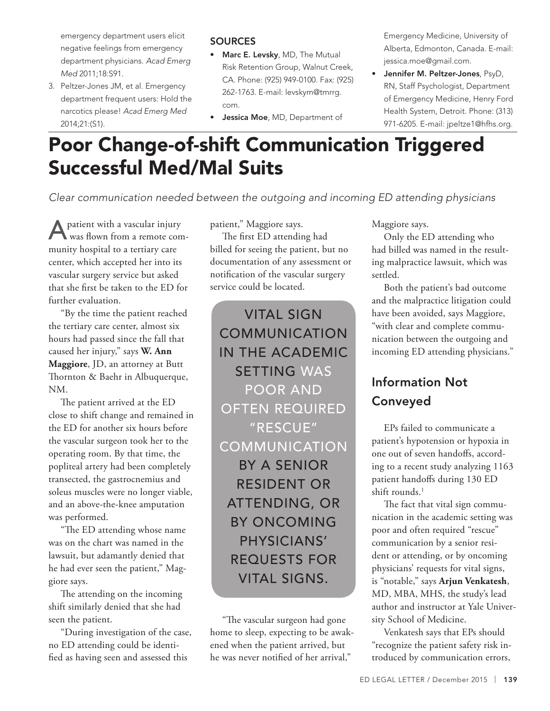emergency department users elicit negative feelings from emergency department physicians. *Acad Emerg Med* 2011;18:S91.

3. Peltzer-Jones JM, et al. Emergency department frequent users: Hold the narcotics please! *Acad Emerg Med* 2014;21:(S1).

# **SOURCES**

- Marc E. Levsky, MD, The Mutual Risk Retention Group, Walnut Creek, CA. Phone: (925) 949-0100. Fax: (925) 262-1763. E-mail: levskym@tmrrg. com.
- **Jessica Moe, MD, Department of**

Emergency Medicine, University of Alberta, Edmonton, Canada. E-mail: jessica.moe@gmail.com.

• Jennifer M. Peltzer-Jones, PsyD, RN, Staff Psychologist, Department of Emergency Medicine, Henry Ford Health System, Detroit. Phone: (313) 971-6205. E-mail: jpeltze1@hfhs.org.

# Poor Change-of-shift Communication Triggered Successful Med/Mal Suits

*Clear communication needed between the outgoing and incoming ED attending physicians*

A patient with a vascular injury<br>
was flown from a remote community hospital to a tertiary care center, which accepted her into its vascular surgery service but asked that she first be taken to the ED for further evaluation.

"By the time the patient reached the tertiary care center, almost six hours had passed since the fall that caused her injury," says **W. Ann Maggiore**, JD, an attorney at Butt Thornton & Baehr in Albuquerque, NM.

The patient arrived at the ED close to shift change and remained in the ED for another six hours before the vascular surgeon took her to the operating room. By that time, the popliteal artery had been completely transected, the gastrocnemius and soleus muscles were no longer viable, and an above-the-knee amputation was performed.

"The ED attending whose name was on the chart was named in the lawsuit, but adamantly denied that he had ever seen the patient," Maggiore says.

The attending on the incoming shift similarly denied that she had seen the patient.

"During investigation of the case, no ED attending could be identified as having seen and assessed this

patient," Maggiore says.

The first ED attending had billed for seeing the patient, but no documentation of any assessment or notification of the vascular surgery service could be located.

VITAL SIGN COMMUNICATION IN THE ACADEMIC SETTING WAS POOR AND OFTEN REQUIRED "RESCUE" COMMUNICATION BY A SENIOR RESIDENT OR ATTENDING, OR BY ONCOMING PHYSICIANS' REQUESTS FOR VITAL SIGNS.

"The vascular surgeon had gone home to sleep, expecting to be awakened when the patient arrived, but he was never notified of her arrival,"

Maggiore says.

Only the ED attending who had billed was named in the resulting malpractice lawsuit, which was settled.

Both the patient's bad outcome and the malpractice litigation could have been avoided, says Maggiore, "with clear and complete communication between the outgoing and incoming ED attending physicians."

# Information Not Conveyed

EPs failed to communicate a patient's hypotension or hypoxia in one out of seven handoffs, according to a recent study analyzing 1163 patient handoffs during 130 ED shift rounds.<sup>1</sup>

The fact that vital sign communication in the academic setting was poor and often required "rescue" communication by a senior resident or attending, or by oncoming physicians' requests for vital signs, is "notable," says **Arjun Venkatesh**, MD, MBA, MHS, the study's lead author and instructor at Yale University School of Medicine.

Venkatesh says that EPs should "recognize the patient safety risk introduced by communication errors,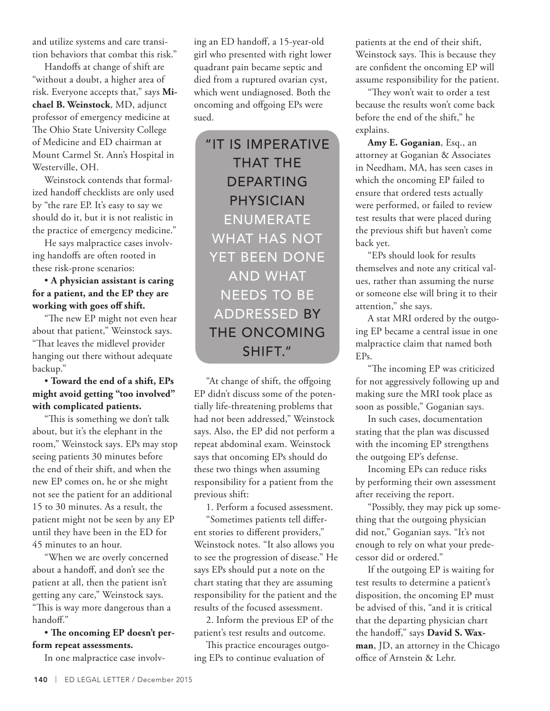and utilize systems and care transition behaviors that combat this risk."

Handoffs at change of shift are "without a doubt, a higher area of risk. Everyone accepts that," says **Michael B. Weinstock**, MD, adjunct professor of emergency medicine at The Ohio State University College of Medicine and ED chairman at Mount Carmel St. Ann's Hospital in Westerville, OH.

Weinstock contends that formalized handoff checklists are only used by "the rare EP. It's easy to say we should do it, but it is not realistic in the practice of emergency medicine."

He says malpractice cases involving handoffs are often rooted in these risk-prone scenarios:

# • **A physician assistant is caring for a patient, and the EP they are working with goes off shift.**

"The new EP might not even hear about that patient," Weinstock says. "That leaves the midlevel provider hanging out there without adequate backup."

# • **Toward the end of a shift, EPs might avoid getting "too involved" with complicated patients.**

"This is something we don't talk about, but it's the elephant in the room," Weinstock says. EPs may stop seeing patients 30 minutes before the end of their shift, and when the new EP comes on, he or she might not see the patient for an additional 15 to 30 minutes. As a result, the patient might not be seen by any EP until they have been in the ED for 45 minutes to an hour.

"When we are overly concerned about a handoff, and don't see the patient at all, then the patient isn't getting any care," Weinstock says. "This is way more dangerous than a handoff."

• **The oncoming EP doesn't perform repeat assessments.**

In one malpractice case involv-

ing an ED handoff, a 15-year-old girl who presented with right lower quadrant pain became septic and died from a ruptured ovarian cyst, which went undiagnosed. Both the oncoming and offgoing EPs were sued.

"IT IS IMPERATIVE THAT THE DEPARTING PHYSICIAN ENUMERATE WHAT HAS NOT YET BEEN DONE AND WHAT NEEDS TO BE ADDRESSED BY THE ONCOMING SHIFT."

"At change of shift, the offgoing EP didn't discuss some of the potentially life-threatening problems that had not been addressed," Weinstock says. Also, the EP did not perform a repeat abdominal exam. Weinstock says that oncoming EPs should do these two things when assuming responsibility for a patient from the previous shift:

1. Perform a focused assessment.

"Sometimes patients tell different stories to different providers," Weinstock notes. "It also allows you to see the progression of disease." He says EPs should put a note on the chart stating that they are assuming responsibility for the patient and the results of the focused assessment.

2. Inform the previous EP of the patient's test results and outcome.

This practice encourages outgoing EPs to continue evaluation of

patients at the end of their shift, Weinstock says. This is because they are confident the oncoming EP will assume responsibility for the patient.

"They won't wait to order a test because the results won't come back before the end of the shift," he explains.

**Amy E. Goganian**, Esq., an attorney at Goganian & Associates in Needham, MA, has seen cases in which the oncoming EP failed to ensure that ordered tests actually were performed, or failed to review test results that were placed during the previous shift but haven't come back yet.

"EPs should look for results themselves and note any critical values, rather than assuming the nurse or someone else will bring it to their attention," she says.

A stat MRI ordered by the outgoing EP became a central issue in one malpractice claim that named both EPs.

"The incoming EP was criticized for not aggressively following up and making sure the MRI took place as soon as possible," Goganian says.

In such cases, documentation stating that the plan was discussed with the incoming EP strengthens the outgoing EP's defense.

Incoming EPs can reduce risks by performing their own assessment after receiving the report.

"Possibly, they may pick up something that the outgoing physician did not," Goganian says. "It's not enough to rely on what your predecessor did or ordered."

If the outgoing EP is waiting for test results to determine a patient's disposition, the oncoming EP must be advised of this, "and it is critical that the departing physician chart the handoff," says **David S. Waxman**, JD, an attorney in the Chicago office of Arnstein & Lehr.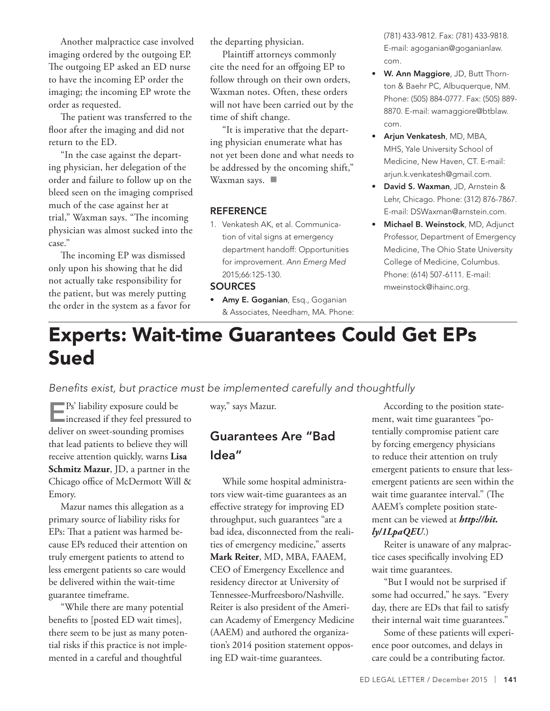Another malpractice case involved imaging ordered by the outgoing EP. The outgoing EP asked an ED nurse to have the incoming EP order the imaging; the incoming EP wrote the order as requested.

The patient was transferred to the floor after the imaging and did not return to the ED.

"In the case against the departing physician, her delegation of the order and failure to follow up on the bleed seen on the imaging comprised much of the case against her at trial," Waxman says. "The incoming physician was almost sucked into the case."

The incoming EP was dismissed only upon his showing that he did not actually take responsibility for the patient, but was merely putting the order in the system as a favor for the departing physician.

Plaintiff attorneys commonly cite the need for an offgoing EP to follow through on their own orders, Waxman notes. Often, these orders will not have been carried out by the time of shift change.

"It is imperative that the departing physician enumerate what has not yet been done and what needs to be addressed by the oncoming shift," Waxman says.  $\blacksquare$ 

### **REFERENCE**

1. Venkatesh AK, et al. Communication of vital signs at emergency department handoff: Opportunities for improvement. *Ann Emerg Med* 2015;66:125-130.

### **SOURCES**

**• Amy E. Goganian**, Esq., Goganian & Associates, Needham, MA. Phone: (781) 433-9812. Fax: (781) 433-9818. E-mail: agoganian@goganianlaw. com.

- W. Ann Maggiore, JD, Butt Thornton & Baehr PC, Albuquerque, NM. Phone: (505) 884-0777. Fax: (505) 889- 8870. E-mail: wamaggiore@btblaw. com.
- Arjun Venkatesh, MD, MBA, MHS, Yale University School of Medicine, New Haven, CT. E-mail: arjun.k.venkatesh@gmail.com.
- David S. Waxman, JD, Arnstein & Lehr, Chicago. Phone: (312) 876-7867. E-mail: DSWaxman@arnstein.com.
- Michael B. Weinstock, MD, Adjunct Professor, Department of Emergency Medicine, The Ohio State University College of Medicine, Columbus. Phone: (614) 507-6111. E-mail: mweinstock@ihainc.org.

# Experts: Wait-time Guarantees Could Get EPs Sued

*Benefits exist, but practice must be implemented carefully and thoughtfully*

EPs' liability exposure could be increased if they feel pressured to deliver on sweet-sounding promises that lead patients to believe they will receive attention quickly, warns **Lisa Schmitz Mazur**, JD, a partner in the Chicago office of McDermott Will & Emory.

Mazur names this allegation as a primary source of liability risks for EPs: That a patient was harmed because EPs reduced their attention on truly emergent patients to attend to less emergent patients so care would be delivered within the wait-time guarantee timeframe.

"While there are many potential benefits to [posted ED wait times], there seem to be just as many potential risks if this practice is not implemented in a careful and thoughtful

way," says Mazur.

# Guarantees Are "Bad Idea"

While some hospital administrators view wait-time guarantees as an effective strategy for improving ED throughput, such guarantees "are a bad idea, disconnected from the realities of emergency medicine," asserts **Mark Reiter**, MD, MBA, FAAEM, CEO of Emergency Excellence and residency director at University of Tennessee-Murfreesboro/Nashville. Reiter is also president of the American Academy of Emergency Medicine (AAEM) and authored the organization's 2014 position statement opposing ED wait-time guarantees.

According to the position statement, wait time guarantees "potentially compromise patient care by forcing emergency physicians to reduce their attention on truly emergent patients to ensure that lessemergent patients are seen within the wait time guarantee interval." (The AAEM's complete position statement can be viewed at *http://bit. ly/1LpaQEU*.)

Reiter is unaware of any malpractice cases specifically involving ED wait time guarantees.

"But I would not be surprised if some had occurred," he says. "Every day, there are EDs that fail to satisfy their internal wait time guarantees."

Some of these patients will experience poor outcomes, and delays in care could be a contributing factor.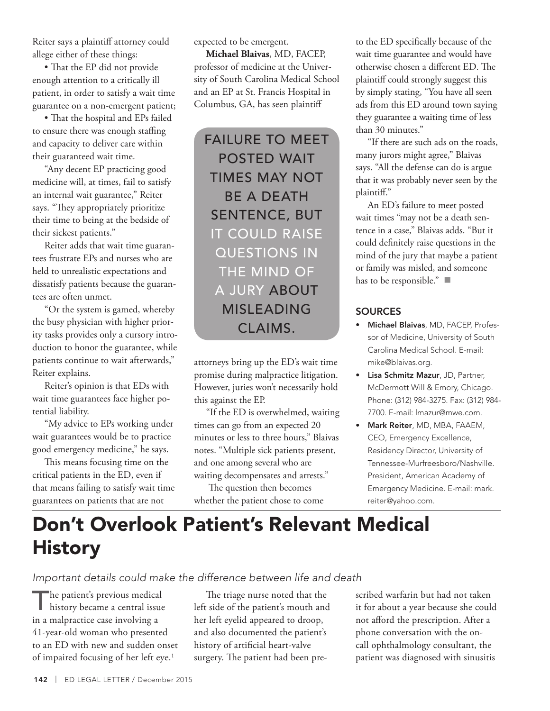Reiter says a plaintiff attorney could allege either of these things:

• That the EP did not provide enough attention to a critically ill patient, in order to satisfy a wait time guarantee on a non-emergent patient;

• That the hospital and EPs failed to ensure there was enough staffing and capacity to deliver care within their guaranteed wait time.

"Any decent EP practicing good medicine will, at times, fail to satisfy an internal wait guarantee," Reiter says. "They appropriately prioritize their time to being at the bedside of their sickest patients."

Reiter adds that wait time guarantees frustrate EPs and nurses who are held to unrealistic expectations and dissatisfy patients because the guarantees are often unmet.

"Or the system is gamed, whereby the busy physician with higher priority tasks provides only a cursory introduction to honor the guarantee, while patients continue to wait afterwards," Reiter explains.

Reiter's opinion is that EDs with wait time guarantees face higher potential liability.

"My advice to EPs working under wait guarantees would be to practice good emergency medicine," he says.

This means focusing time on the critical patients in the ED, even if that means failing to satisfy wait time guarantees on patients that are not

expected to be emergent.

**Michael Blaivas**, MD, FACEP, professor of medicine at the University of South Carolina Medical School and an EP at St. Francis Hospital in Columbus, GA, has seen plaintiff

FAILURE TO MEET POSTED WAIT TIMES MAY NOT BE A DEATH SENTENCE, BUT IT COULD RAISE QUESTIONS IN THE MIND OF A JURY ABOUT MISLEADING CLAIMS.

attorneys bring up the ED's wait time promise during malpractice litigation. However, juries won't necessarily hold this against the EP.

"If the ED is overwhelmed, waiting times can go from an expected 20 minutes or less to three hours," Blaivas notes. "Multiple sick patients present, and one among several who are waiting decompensates and arrests."

 The question then becomes whether the patient chose to come to the ED specifically because of the wait time guarantee and would have otherwise chosen a different ED. The plaintiff could strongly suggest this by simply stating, "You have all seen ads from this ED around town saying they guarantee a waiting time of less than 30 minutes."

"If there are such ads on the roads, many jurors might agree," Blaivas says. "All the defense can do is argue that it was probably never seen by the plaintiff."

An ED's failure to meet posted wait times "may not be a death sentence in a case," Blaivas adds. "But it could definitely raise questions in the mind of the jury that maybe a patient or family was misled, and someone has to be responsible." $\blacksquare$ 

# **SOURCES**

- Michael Blaivas, MD, FACEP, Professor of Medicine, University of South Carolina Medical School. E-mail: mike@blaivas.org.
- Lisa Schmitz Mazur, JD, Partner, McDermott Will & Emory, Chicago. Phone: (312) 984-3275. Fax: (312) 984- 7700. E-mail: lmazur@mwe.com.
- Mark Reiter, MD, MBA, FAAEM, CEO, Emergency Excellence, Residency Director, University of Tennessee-Murfreesboro/Nashville. President, American Academy of Emergency Medicine. E-mail: mark. reiter@yahoo.com.

# Don't Overlook Patient's Relevant Medical **History**

*Important details could make the difference between life and death*

The patient's previous medical<br>history became a central issue in a malpractice case involving a 41-year-old woman who presented to an ED with new and sudden onset of impaired focusing of her left eye.<sup>1</sup>

The triage nurse noted that the left side of the patient's mouth and her left eyelid appeared to droop, and also documented the patient's history of artificial heart-valve surgery. The patient had been prescribed warfarin but had not taken it for about a year because she could not afford the prescription. After a phone conversation with the oncall ophthalmology consultant, the patient was diagnosed with sinusitis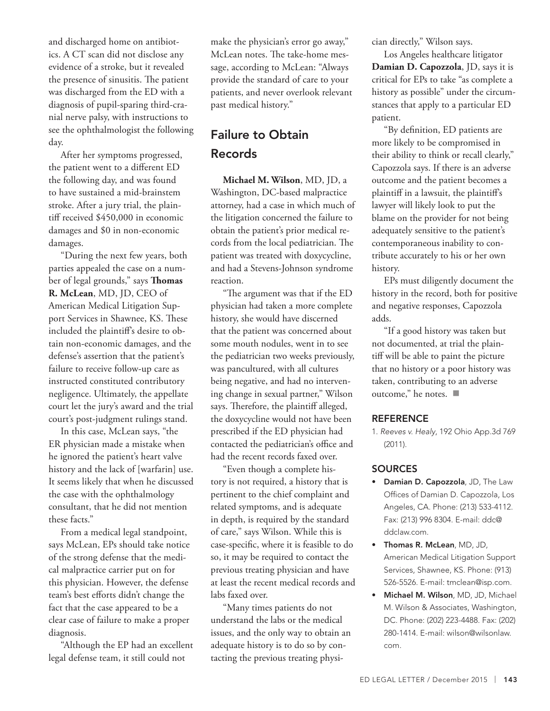and discharged home on antibiotics. A CT scan did not disclose any evidence of a stroke, but it revealed the presence of sinusitis. The patient was discharged from the ED with a diagnosis of pupil-sparing third-cranial nerve palsy, with instructions to see the ophthalmologist the following day.

After her symptoms progressed, the patient went to a different ED the following day, and was found to have sustained a mid-brainstem stroke. After a jury trial, the plaintiff received \$450,000 in economic damages and \$0 in non-economic damages.

"During the next few years, both parties appealed the case on a number of legal grounds," says **Thomas R. McLean**, MD, JD, CEO of American Medical Litigation Support Services in Shawnee, KS. These included the plaintiff's desire to obtain non-economic damages, and the defense's assertion that the patient's failure to receive follow-up care as instructed constituted contributory negligence. Ultimately, the appellate court let the jury's award and the trial court's post-judgment rulings stand.

In this case, McLean says, "the ER physician made a mistake when he ignored the patient's heart valve history and the lack of [warfarin] use. It seems likely that when he discussed the case with the ophthalmology consultant, that he did not mention these facts."

From a medical legal standpoint, says McLean, EPs should take notice of the strong defense that the medical malpractice carrier put on for this physician. However, the defense team's best efforts didn't change the fact that the case appeared to be a clear case of failure to make a proper diagnosis.

"Although the EP had an excellent legal defense team, it still could not

make the physician's error go away," McLean notes. The take-home message, according to McLean: "Always provide the standard of care to your patients, and never overlook relevant past medical history."

# Failure to Obtain Records

**Michael M. Wilson**, MD, JD, a Washington, DC-based malpractice attorney, had a case in which much of the litigation concerned the failure to obtain the patient's prior medical records from the local pediatrician. The patient was treated with doxycycline, and had a Stevens-Johnson syndrome reaction.

"The argument was that if the ED physician had taken a more complete history, she would have discerned that the patient was concerned about some mouth nodules, went in to see the pediatrician two weeks previously, was pancultured, with all cultures being negative, and had no intervening change in sexual partner," Wilson says. Therefore, the plaintiff alleged, the doxycycline would not have been prescribed if the ED physician had contacted the pediatrician's office and had the recent records faxed over.

"Even though a complete history is not required, a history that is pertinent to the chief complaint and related symptoms, and is adequate in depth, is required by the standard of care," says Wilson. While this is case-specific, where it is feasible to do so, it may be required to contact the previous treating physician and have at least the recent medical records and labs faxed over.

"Many times patients do not understand the labs or the medical issues, and the only way to obtain an adequate history is to do so by contacting the previous treating physician directly," Wilson says.

Los Angeles healthcare litigator **Damian D. Capozzola**, JD, says it is critical for EPs to take "as complete a history as possible" under the circumstances that apply to a particular ED patient.

"By definition, ED patients are more likely to be compromised in their ability to think or recall clearly," Capozzola says. If there is an adverse outcome and the patient becomes a plaintiff in a lawsuit, the plaintiff's lawyer will likely look to put the blame on the provider for not being adequately sensitive to the patient's contemporaneous inability to contribute accurately to his or her own history.

EPs must diligently document the history in the record, both for positive and negative responses, Capozzola adds.

"If a good history was taken but not documented, at trial the plaintiff will be able to paint the picture that no history or a poor history was taken, contributing to an adverse outcome," he notes.  $\blacksquare$ 

# **REFERENCE**

1. *Reeves v. Healy*, 192 Ohio App.3d 769 (2011).

# **SOURCES**

- Damian D. Capozzola, JD, The Law Offices of Damian D. Capozzola, Los Angeles, CA. Phone: (213) 533-4112. Fax: (213) 996 8304. E-mail: ddc@ ddclaw.com.
- Thomas R. McLean, MD, JD, American Medical Litigation Support Services, Shawnee, KS. Phone: (913) 526-5526. E-mail: tmclean@isp.com.
- Michael M. Wilson, MD, JD, Michael M. Wilson & Associates, Washington, DC. Phone: (202) 223-4488. Fax: (202) 280-1414. E-mail: wilson@wilsonlaw. com.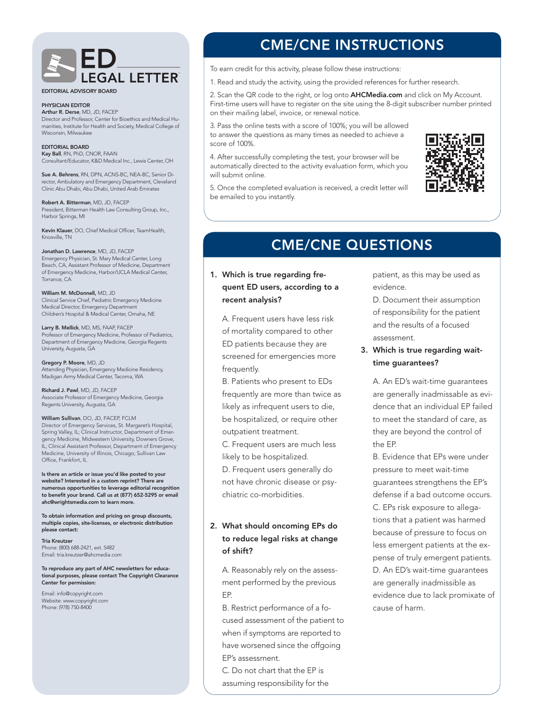

EDITORIAL ADVISORY BOARD

#### PHYSICIAN EDITOR

Arthur R. Derse, MD, JD, FACEP Director and Professor, Center for Bioethics and Medical Humanities, Institute for Health and Society, Medical College of Wisconsin, Milwaukee

#### EDITORIAL BOARD Kay Ball, RN, PhD, CNOR, FAAN Consultant/Educator, K&D Medical Inc., Lewis Center, OH

Sue A. Behrens, RN, DPN, ACNS-BC, NEA-BC, Senior Director, Ambulatory and Emergency Department, Cleveland Clinic Abu Dhabi, Abu Dhabi, United Arab Emirates

Robert A. Bitterman, MD, JD, FACEP President, Bitterman Health Law Consulting Group, Inc., Harbor Springs, MI

Kevin Klauer, DO, Chief Medical Officer, TeamHealth, Knoxville, TN

Jonathan D. Lawrence, MD, JD, FACEP Emergency Physician, St. Mary Medical Center, Long Beach, CA, Assistant Professor of Medicine, Department of Emergency Medicine, Harbor/UCLA Medical Center, Torrance, CA

William M. McDonnell, MD, JD Clinical Service Chief, Pediatric Emergency Medicine Medical Director, Emergency Department Children's Hospital & Medical Center, Omaha, NE

Larry B. Mellick, MD, MS, FAAP, FACEP Professor of Emergency Medicine, Professor of Pediatrics, Department of Emergency Medicine, Georgia Regents University, Augusta, GA

Gregory P. Moore, MD, JD Attending Physician, Emergency Medicine Residency, Madigan Army Medical Center, Tacoma, WA

Richard J. Pawl, MD, JD, FACEP Associate Professor of Emergency Medicine, Georgia Regents University, Augusta, GA

William Sullivan, DO, JD, FACEP, FCLM Director of Emergency Services, St. Margaret's Hospital, Spring Valley, IL; Clinical Instructor, Department of Emergency Medicine, Midwestern University, Downers Grove, IL; Clinical Assistant Professor, Department of Emergency Medicine, University of Illinois, Chicago; Sullivan Law Office, Frankfort, IL

Is there an article or issue you'd like posted to your website? Interested in a custom reprint? There are numerous opportunities to leverage editorial recognition to benefit your brand. Call us at (877) 652-5295 or email ahc@wrightsmedia.com to learn more.

To obtain information and pricing on group discounts, multiple copies, site-licenses, or electronic distribution please contact:

Tria Kreutzer

Phone: (800) 688-2421, ext. 5482 Email: tria.kreutzer@ahcmedia.com

To reproduce any part of AHC newsletters for educational purposes, please contact The Copyright Clearance Center for permission:

Email: info@copyright.com Website: www.copyright.com Phone: (978) 750-8400

# CME/CNE INSTRUCTIONS

To earn credit for this activity, please follow these instructions:

1. Read and study the activity, using the provided references for further research.

2. Scan the QR code to the right, or log onto **AHCMedia.com** and click on My Account. First-time users will have to register on the site using the 8-digit subscriber number printed on their mailing label, invoice, or renewal notice.

3. Pass the online tests with a score of 100%; you will be allowed to answer the questions as many times as needed to achieve a score of 100%.

4. After successfully completing the test, your browser will be automatically directed to the activity evaluation form, which you will submit online.



5. Once the completed evaluation is received, a credit letter will be emailed to you instantly.

# CME/CNE QUESTIONS

# 1. Which is true regarding frequent ED users, according to a recent analysis?

A. Frequent users have less risk of mortality compared to other ED patients because they are screened for emergencies more frequently.

B. Patients who present to EDs frequently are more than twice as likely as infrequent users to die, be hospitalized, or require other outpatient treatment.

C. Frequent users are much less likely to be hospitalized.

D. Frequent users generally do not have chronic disease or psychiatric co-morbidities.

# 2. What should oncoming EPs do to reduce legal risks at change of shift?

A. Reasonably rely on the assessment performed by the previous EP.

B. Restrict performance of a focused assessment of the patient to when if symptoms are reported to have worsened since the offgoing EP's assessment.

C. Do not chart that the EP is assuming responsibility for the patient, as this may be used as evidence.

D. Document their assumption of responsibility for the patient and the results of a focused assessment.

3. Which is true regarding waittime guarantees?

A. An ED's wait-time guarantees are generally inadmissable as evidence that an individual EP failed to meet the standard of care, as they are beyond the control of the EP.

B. Evidence that EPs were under pressure to meet wait-time guarantees strengthens the EP's defense if a bad outcome occurs. C. EPs risk exposure to allegations that a patient was harmed because of pressure to focus on less emergent patients at the expense of truly emergent patients. D. An ED's wait-time guarantees are generally inadmissible as evidence due to lack promixate of cause of harm.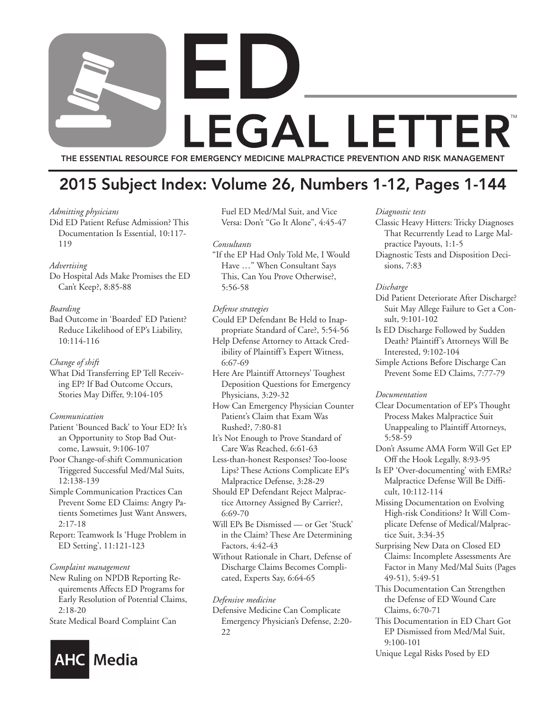# H **LEGAL LETTER** THE ESSENTIAL RESOURCE FOR EMERGENCY MEDICINE MALPRACTICE PREVENTION AND RISK MANAGEMENT

# 2015 Subject Index: Volume 26, Numbers 1-12, Pages 1-144

### *Admitting physicians*

Did ED Patient Refuse Admission? This Documentation Is Essential, 10:117- 119

# *Advertising*

Do Hospital Ads Make Promises the ED Can't Keep?, 8:85-88

# *Boarding*

Bad Outcome in 'Boarded' ED Patient? Reduce Likelihood of EP's Liability, 10:114-116

# *Change of shift*

What Did Transferring EP Tell Receiving EP? If Bad Outcome Occurs, Stories May Differ, 9:104-105

# *Communication*

- Patient 'Bounced Back' to Your ED? It's an Opportunity to Stop Bad Outcome, Lawsuit, 9:106-107
- Poor Change-of-shift Communication Triggered Successful Med/Mal Suits, 12:138-139
- Simple Communication Practices Can Prevent Some ED Claims: Angry Patients Sometimes Just Want Answers, 2:17-18
- Report: Teamwork Is 'Huge Problem in ED Setting', 11:121-123

### *Complaint management*

New Ruling on NPDB Reporting Requirements Affects ED Programs for Early Resolution of Potential Claims, 2:18-20

State Medical Board Complaint Can



*Consultants*

"If the EP Had Only Told Me, I Would Have …" When Consultant Says This, Can You Prove Otherwise?, 5:56-58

# *Defense strategies*

- Could EP Defendant Be Held to Inappropriate Standard of Care?, 5:54-56
- Help Defense Attorney to Attack Credibility of Plaintiff's Expert Witness, 6:67-69
- Here Are Plaintiff Attorneys' Toughest Deposition Questions for Emergency Physicians, 3:29-32
- How Can Emergency Physician Counter Patient's Claim that Exam Was Rushed?, 7:80-81
- It's Not Enough to Prove Standard of Care Was Reached, 6:61-63
- Less-than-honest Responses? Too-loose Lips? These Actions Complicate EP's Malpractice Defense, 3:28-29
- Should EP Defendant Reject Malpractice Attorney Assigned By Carrier?, 6:69-70
- Will EPs Be Dismissed or Get 'Stuck' in the Claim? These Are Determining Factors, 4:42-43
- Without Rationale in Chart, Defense of Discharge Claims Becomes Complicated, Experts Say, 6:64-65

# *Defensive medicine*

Defensive Medicine Can Complicate Emergency Physician's Defense, 2:20- 22

### *Diagnostic tests*

- Classic Heavy Hitters: Tricky Diagnoses That Recurrently Lead to Large Malpractice Payouts, 1:1-5
- Diagnostic Tests and Disposition Decisions, 7:83

### *Discharge*

- Did Patient Deteriorate After Discharge? Suit May Allege Failure to Get a Consult, 9:101-102
- Is ED Discharge Followed by Sudden Death? Plaintiff's Attorneys Will Be Interested, 9:102-104
- Simple Actions Before Discharge Can Prevent Some ED Claims, 7:77-79

### *Documentation*

- Clear Documentation of EP's Thought Process Makes Malpractice Suit Unappealing to Plaintiff Attorneys, 5:58-59
- Don't Assume AMA Form Will Get EP Off the Hook Legally, 8:93-95
- Is EP 'Over-documenting' with EMRs? Malpractice Defense Will Be Difficult, 10:112-114
- Missing Documentation on Evolving High-risk Conditions? It Will Complicate Defense of Medical/Malpractice Suit, 3:34-35
- Surprising New Data on Closed ED Claims: Incomplete Assessments Are Factor in Many Med/Mal Suits (Pages 49-51), 5:49-51
- This Documentation Can Strengthen the Defense of ED Wound Care Claims, 6:70-71
- This Documentation in ED Chart Got EP Dismissed from Med/Mal Suit, 9:100-101
- Unique Legal Risks Posed by ED